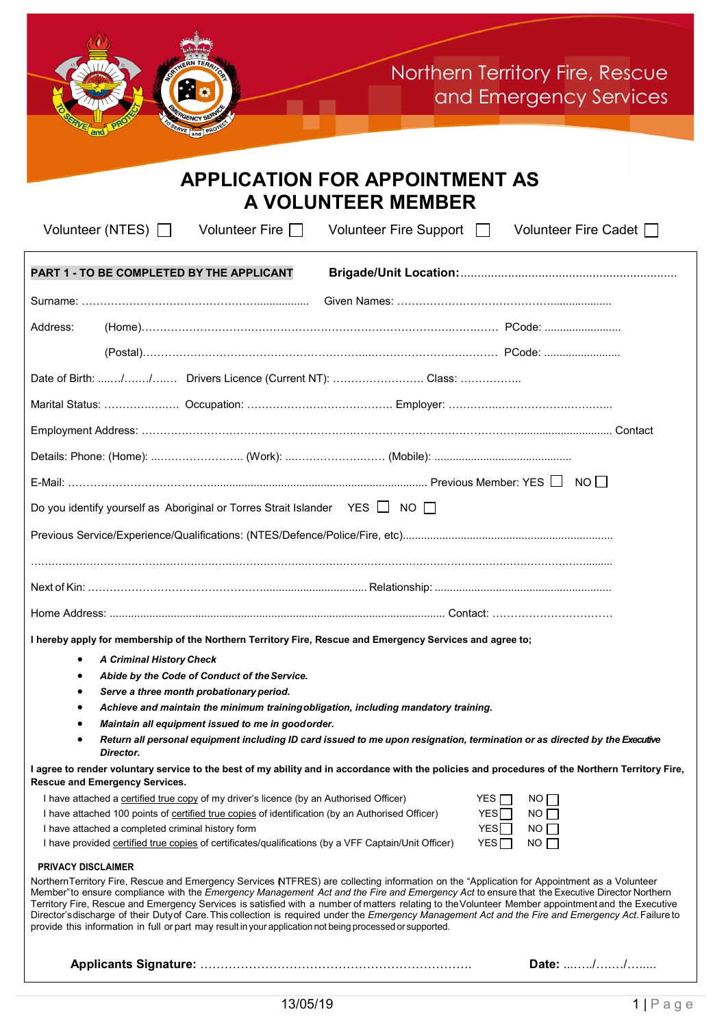

| <b>APPLICATION FOR APPOINTMENT AS</b><br><b>A VOLUNTEER MEMBER</b>                                        |                                                                                                                                                                                                                                                                                                                                                                                                                                                                                                                                                                                                             |  |
|-----------------------------------------------------------------------------------------------------------|-------------------------------------------------------------------------------------------------------------------------------------------------------------------------------------------------------------------------------------------------------------------------------------------------------------------------------------------------------------------------------------------------------------------------------------------------------------------------------------------------------------------------------------------------------------------------------------------------------------|--|
| Volunteer (NTES) $\Box$<br>Volunteer Fire $\Box$                                                          | Volunteer Fire Support   Volunteer Fire Cadet                                                                                                                                                                                                                                                                                                                                                                                                                                                                                                                                                               |  |
| PART 1 - TO BE COMPLETED BY THE APPLICANT                                                                 |                                                                                                                                                                                                                                                                                                                                                                                                                                                                                                                                                                                                             |  |
|                                                                                                           |                                                                                                                                                                                                                                                                                                                                                                                                                                                                                                                                                                                                             |  |
| Address:                                                                                                  |                                                                                                                                                                                                                                                                                                                                                                                                                                                                                                                                                                                                             |  |
|                                                                                                           |                                                                                                                                                                                                                                                                                                                                                                                                                                                                                                                                                                                                             |  |
| Date of Birth: // Drivers Licence (Current NT):  Class:                                                   |                                                                                                                                                                                                                                                                                                                                                                                                                                                                                                                                                                                                             |  |
|                                                                                                           |                                                                                                                                                                                                                                                                                                                                                                                                                                                                                                                                                                                                             |  |
|                                                                                                           |                                                                                                                                                                                                                                                                                                                                                                                                                                                                                                                                                                                                             |  |
|                                                                                                           |                                                                                                                                                                                                                                                                                                                                                                                                                                                                                                                                                                                                             |  |
|                                                                                                           |                                                                                                                                                                                                                                                                                                                                                                                                                                                                                                                                                                                                             |  |
| Do you identify yourself as Aboriginal or Torres Strait Islander YES $\Box$ NO $\Box$                     |                                                                                                                                                                                                                                                                                                                                                                                                                                                                                                                                                                                                             |  |
|                                                                                                           |                                                                                                                                                                                                                                                                                                                                                                                                                                                                                                                                                                                                             |  |
|                                                                                                           |                                                                                                                                                                                                                                                                                                                                                                                                                                                                                                                                                                                                             |  |
|                                                                                                           |                                                                                                                                                                                                                                                                                                                                                                                                                                                                                                                                                                                                             |  |
|                                                                                                           |                                                                                                                                                                                                                                                                                                                                                                                                                                                                                                                                                                                                             |  |
| I hereby apply for membership of the Northern Territory Fire, Rescue and Emergency Services and agree to; |                                                                                                                                                                                                                                                                                                                                                                                                                                                                                                                                                                                                             |  |
| <b>A Criminal History Check</b><br>٠                                                                      |                                                                                                                                                                                                                                                                                                                                                                                                                                                                                                                                                                                                             |  |
| Abide by the Code of Conduct of the Service.                                                              |                                                                                                                                                                                                                                                                                                                                                                                                                                                                                                                                                                                                             |  |
| Serve a three month probationary period.                                                                  |                                                                                                                                                                                                                                                                                                                                                                                                                                                                                                                                                                                                             |  |
| Achieve and maintain the minimum training obligation, including mandatory training.                       |                                                                                                                                                                                                                                                                                                                                                                                                                                                                                                                                                                                                             |  |
| Maintain all equipment issued to me in good order.                                                        | Return all personal equipment including ID card issued to me upon resignation, termination or as directed by the Executive                                                                                                                                                                                                                                                                                                                                                                                                                                                                                  |  |
| Director.                                                                                                 | I agree to render voluntary service to the best of my ability and in accordance with the policies and procedures of the Northern Territory Fire,                                                                                                                                                                                                                                                                                                                                                                                                                                                            |  |
| <b>Rescue and Emergency Services.</b>                                                                     |                                                                                                                                                                                                                                                                                                                                                                                                                                                                                                                                                                                                             |  |
| I have attached a certified true copy of my driver's licence (by an Authorised Officer)                   | YES $\Box$<br>NO                                                                                                                                                                                                                                                                                                                                                                                                                                                                                                                                                                                            |  |
| I have attached 100 points of certified true copies of identification (by an Authorised Officer)          | YES<br>NO                                                                                                                                                                                                                                                                                                                                                                                                                                                                                                                                                                                                   |  |
| I have attached a completed criminal history form                                                         | YES<br>NO                                                                                                                                                                                                                                                                                                                                                                                                                                                                                                                                                                                                   |  |
| I have provided certified true copies of certificates/qualifications (by a VFF Captain/Unit Officer)      | YES<br>NO                                                                                                                                                                                                                                                                                                                                                                                                                                                                                                                                                                                                   |  |
| <b>PRIVACY DISCLAIMER</b>                                                                                 |                                                                                                                                                                                                                                                                                                                                                                                                                                                                                                                                                                                                             |  |
| provide this information in full or part may result in your application not being processed or supported. | Northern Territory Fire, Rescue and Emergency Services NTFRES) are collecting information on the "Application for Appointment as a Volunteer<br>Member" to ensure compliance with the Emergency Management Act and the Fire and Emergency Act to ensure that the Executive Director Northern<br>Territory Fire, Rescue and Emergency Services is satisfied with a number of matters relating to the Volunteer Member appointment and the Executive<br>Director's discharge of their Duty of Care. This collection is required under the Emergency Management Act and the Fire and Emergency Act. Failure to |  |
|                                                                                                           | Date: //                                                                                                                                                                                                                                                                                                                                                                                                                                                                                                                                                                                                    |  |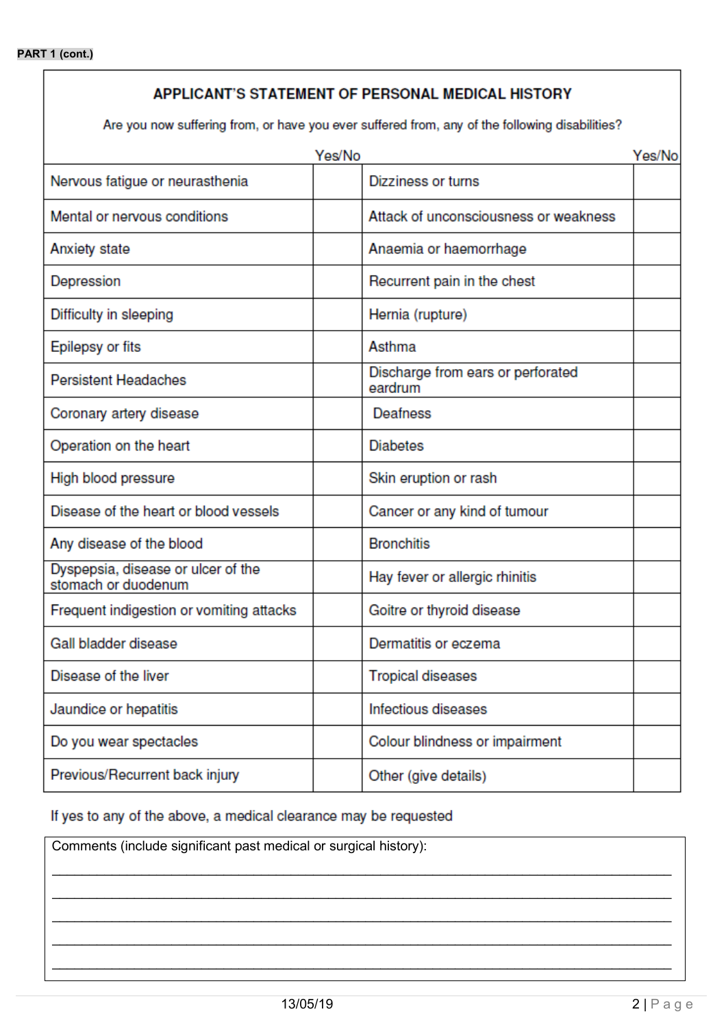# APPLICANT'S STATEMENT OF PERSONAL MEDICAL HISTORY

Are you now suffering from, or have you ever suffered from, any of the following disabilities?

| Yes/No                                                    |  | Yes/No                                       |  |
|-----------------------------------------------------------|--|----------------------------------------------|--|
| Nervous fatigue or neurasthenia                           |  | Dizziness or turns                           |  |
| Mental or nervous conditions                              |  | Attack of unconsciousness or weakness        |  |
| Anxiety state                                             |  | Anaemia or haemorrhage                       |  |
| Depression                                                |  | Recurrent pain in the chest                  |  |
| Difficulty in sleeping                                    |  | Hernia (rupture)                             |  |
| Epilepsy or fits                                          |  | Asthma                                       |  |
| <b>Persistent Headaches</b>                               |  | Discharge from ears or perforated<br>eardrum |  |
| Coronary artery disease                                   |  | Deafness                                     |  |
| Operation on the heart                                    |  | <b>Diabetes</b>                              |  |
| High blood pressure                                       |  | Skin eruption or rash                        |  |
| Disease of the heart or blood vessels                     |  | Cancer or any kind of tumour                 |  |
| Any disease of the blood                                  |  | <b>Bronchitis</b>                            |  |
| Dyspepsia, disease or ulcer of the<br>stomach or duodenum |  | Hay fever or allergic rhinitis               |  |
| Frequent indigestion or vomiting attacks                  |  | Goitre or thyroid disease                    |  |
| Gall bladder disease                                      |  | Dermatitis or eczema                         |  |
| Disease of the liver                                      |  | <b>Tropical diseases</b>                     |  |
| Jaundice or hepatitis                                     |  | Infectious diseases                          |  |
| Do you wear spectacles                                    |  | Colour blindness or impairment               |  |
| Previous/Recurrent back injury                            |  | Other (give details)                         |  |

If yes to any of the above, a medical clearance may be requested

Comments (include significant past medical or surgical history):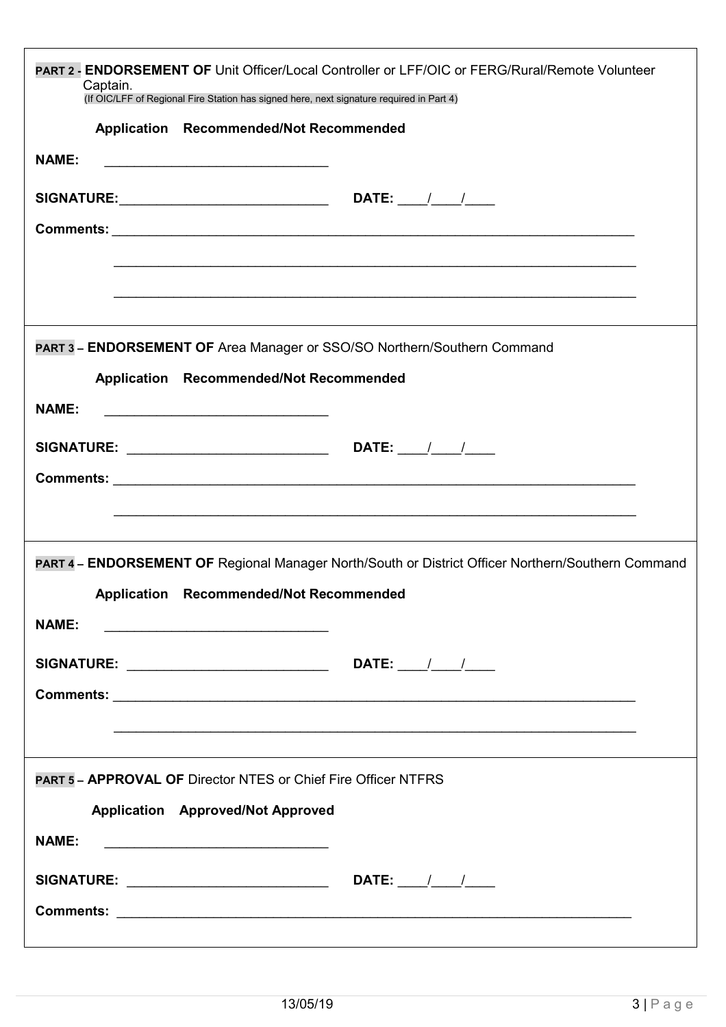| <b>PART 2 - ENDORSEMENT OF Unit Officer/Local Controller or LFF/OIC or FERG/Rural/Remote Volunteer</b><br>Captain.<br>(If OIC/LFF of Regional Fire Station has signed here, next signature required in Part 4) |  |  |
|----------------------------------------------------------------------------------------------------------------------------------------------------------------------------------------------------------------|--|--|
| Application Recommended/Not Recommended                                                                                                                                                                        |  |  |
| <b>NAME:</b><br><u> 2008 - Johann John Stone, mars et al. (2008)</u>                                                                                                                                           |  |  |
|                                                                                                                                                                                                                |  |  |
|                                                                                                                                                                                                                |  |  |
|                                                                                                                                                                                                                |  |  |
|                                                                                                                                                                                                                |  |  |
|                                                                                                                                                                                                                |  |  |
| PART 3 - ENDORSEMENT OF Area Manager or SSO/SO Northern/Southern Command                                                                                                                                       |  |  |
| Application Recommended/Not Recommended                                                                                                                                                                        |  |  |
| <b>NAME:</b><br><u> 2008 - Jan Barnett, amerikansk politiker (d. 18</u>                                                                                                                                        |  |  |
|                                                                                                                                                                                                                |  |  |
|                                                                                                                                                                                                                |  |  |
|                                                                                                                                                                                                                |  |  |
|                                                                                                                                                                                                                |  |  |
| PART 4 - ENDORSEMENT OF Regional Manager North/South or District Officer Northern/Southern Command                                                                                                             |  |  |
| Application Recommended/Not Recommended                                                                                                                                                                        |  |  |
| <b>NAME:</b><br><u> 2008 - Jan James James James James James James James James James James James James James James James James Ja</u>                                                                          |  |  |
|                                                                                                                                                                                                                |  |  |
|                                                                                                                                                                                                                |  |  |
|                                                                                                                                                                                                                |  |  |
|                                                                                                                                                                                                                |  |  |
| <b>PART 5 - APPROVAL OF Director NTES or Chief Fire Officer NTFRS</b>                                                                                                                                          |  |  |
| <b>Application</b> Approved/Not Approved                                                                                                                                                                       |  |  |
| <b>NAME:</b><br><u> 1990 - Paris Paris, president eta provincia eta president</u>                                                                                                                              |  |  |
|                                                                                                                                                                                                                |  |  |
|                                                                                                                                                                                                                |  |  |
|                                                                                                                                                                                                                |  |  |
|                                                                                                                                                                                                                |  |  |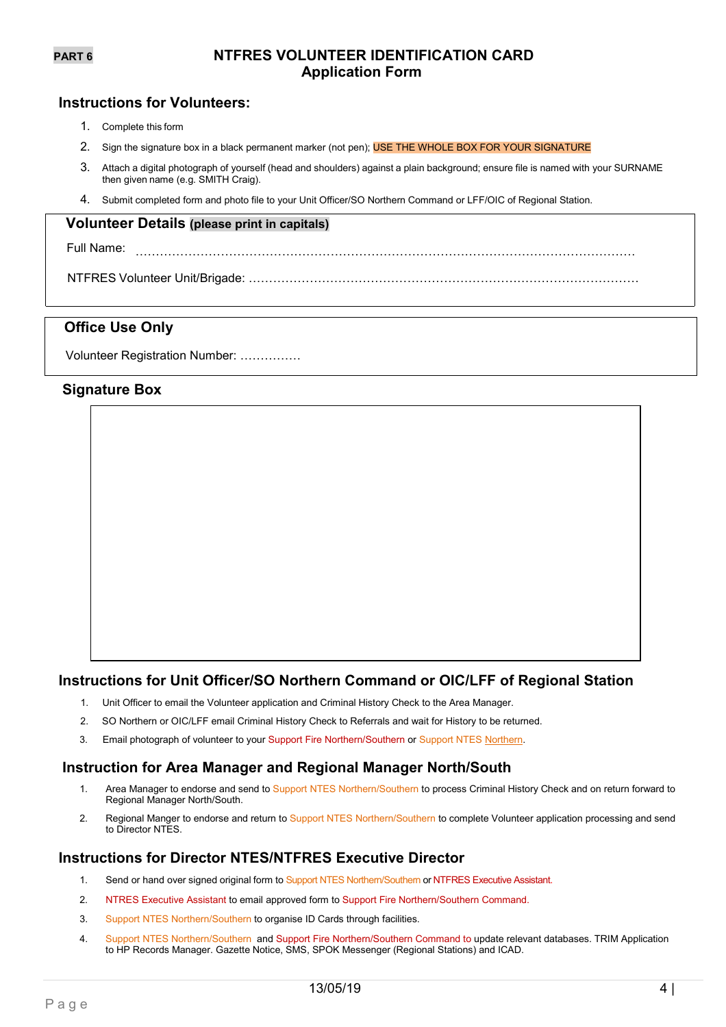# **PART 6 NTFRES VOLUNTEER IDENTIFICATION CARD Application Form**

# **Instructions for Volunteers:**

- 1. Complete this form
- 2. Sign the signature box in a black permanent marker (not pen); USE THE WHOLE BOX FOR YOUR SIGNATURE
- 3. Attach a digital photograph of yourself (head and shoulders) against a plain background; ensure file is named with your SURNAME then given name (e.g. SMITH Craig).
- 4. Submit completed form and photo file to your Unit Officer/SO Northern Command or LFF/OIC of Regional Station.

### **Volunteer Details (please print in capitals)**

Full Name: ……………………………………………………………………………………………………………

NTFRES Volunteer Unit/Brigade: ……………………………………………………………………………………

# **Office Use Only**

Volunteer Registration Number: ……………

# **Signature Box**

# **Instructions for Unit Officer/SO Northern Command or OIC/LFF of Regional Station**

- 1. Unit Officer to email the Volunteer application and Criminal History Check to the Area Manager.
- 2. SO Northern or OIC/LFF email Criminal History Check to Referrals and wait for History to be returned.
- 3. Email photograph of volunteer to your Support Fire [Northern/](mailto:stacey.gilchrist@nt.gov.au)Southern or Support NTE[S Northern.](mailto:suzanne.mccrystal@pfes.nt.gov.au)

### **Instruction for Area Manager and Regional Manager North/South**

- 1. Area Manager to endorse and send to Support NTES Northern/Southern to process Criminal History Check and on return forward to Regional Manager North/South.
- 2. Regional Manger to endorse and return to Support NTES Northern/Southern to complete Volunteer application processing and send to Director NTES.

## **Instructions for Director NTES/NTFRES Executive Director**

- 1. Send or hand over signed original form to Support NTES Northern/Southern or NTFRES Executive Assistant.
- 2. NTRES Executive Assistant to email approved form to Support Fire Northern/Southern Command.
- 3. Support NTES Northern/Southern to organise ID Cards through facilities.
- 4. Support NTES Northern/Southern and Support Fire Northern/Southern Command to update relevant databases. TRIM Application to HP Records Manager. Gazette Notice, SMS, SPOK Messenger (Regional Stations) and ICAD.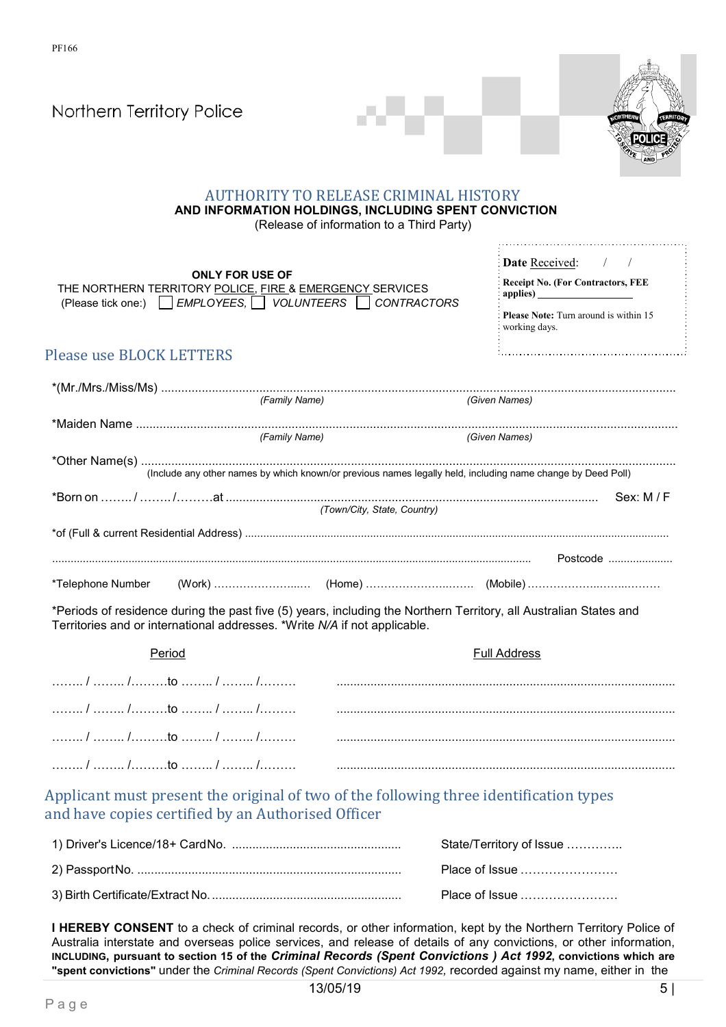| Northern Territory Police                                                                                                                    |                                                                                                                                                   |
|----------------------------------------------------------------------------------------------------------------------------------------------|---------------------------------------------------------------------------------------------------------------------------------------------------|
|                                                                                                                                              | <b>AUTHORITY TO RELEASE CRIMINAL HISTORY</b><br>AND INFORMATION HOLDINGS, INCLUDING SPENT CONVICTION<br>(Release of information to a Third Party) |
| <b>ONLY FOR USE OF</b><br>THE NORTHERN TERRITORY POLICE, FIRE & EMERGENCY SERVICES<br>(Please tick one:) EMPLOYEES, VOLUNTEERS CONTRACTORS   | <b>Date Received:</b> / /<br><b>Receipt No. (For Contractors, FEE</b><br><b>Please Note:</b> Turn around is within 15<br>working days.            |
| <b>Please use BLOCK LETTERS</b>                                                                                                              |                                                                                                                                                   |
| (Family Name)                                                                                                                                | (Given Names)                                                                                                                                     |
| (Family Name)                                                                                                                                | (Given Names)                                                                                                                                     |
|                                                                                                                                              | (Include any other names by which known/or previous names legally held, including name change by Deed Poll)                                       |
|                                                                                                                                              |                                                                                                                                                   |
|                                                                                                                                              |                                                                                                                                                   |
|                                                                                                                                              | (Town/City, State, Country)                                                                                                                       |
|                                                                                                                                              |                                                                                                                                                   |
| *Telephone Number                                                                                                                            | Postcode                                                                                                                                          |
| Territories and or international addresses. *Write N/A if not applicable.                                                                    | *Periods of residence during the past five (5) years, including the Northern Territory, all Australian States and                                 |
| Period                                                                                                                                       | <b>Full Address</b>                                                                                                                               |
|                                                                                                                                              |                                                                                                                                                   |
|                                                                                                                                              |                                                                                                                                                   |
|                                                                                                                                              |                                                                                                                                                   |
|                                                                                                                                              |                                                                                                                                                   |
| Applicant must present the original of two of the following three identification types<br>and have copies certified by an Authorised Officer |                                                                                                                                                   |
|                                                                                                                                              | State/Territory of Issue                                                                                                                          |
|                                                                                                                                              | Place of Issue                                                                                                                                    |

**I HEREBY CONSENT** to a check of criminal records, or other information, kept by the Northern Territory Police of Australia interstate and overseas police services, and release of details of any convictions, or other information, **INCLUDING, pursuant to section 15 of the** *Criminal Records (Spent Convictions ) Act 1992***, convictions which are "spent convictions"** under the *Criminal Records (Spent Convictions) Act 1992,* recorded against my name, either in the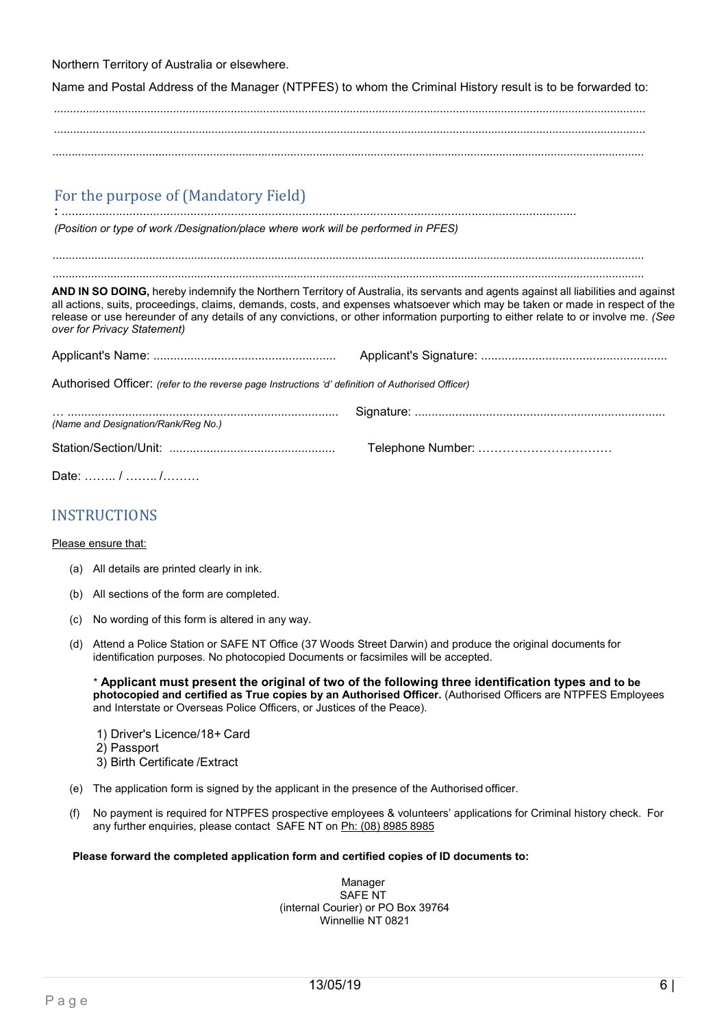Northern Territory of Australia or elsewhere.

Name and Postal Address of the Manager (NTPFES) to whom the Criminal History result is to be forwarded to:

........................................................................................................................................................................................ ........................................................................................................................................................................................

# For the purpose of (Mandatory Field)

**:** ........................................................................................................................................................ *(Position or type of work /Designation/place where work will be performed in PFES)*

........................................................................................................................................................................................ ........................................................................................................................................................................................

**AND IN SO DOING,** hereby indemnify the Northern Territory of Australia, its servants and agents against all liabilities and against all actions, suits, proceedings, claims, demands, costs, and expenses whatsoever which may be taken or made in respect of the release or use hereunder of any details of any convictions, or other information purporting to either relate to or involve me. *(See over for Privacy Statement)*

|--|--|

Authorised Officer: *(refer to the reverse page Instructions 'd' definition of Authorised Officer)*

| (Name and Designation/Rank/Reg No.) |  |
|-------------------------------------|--|
|                                     |  |
|                                     |  |

Date: …….. / …….. /………

# INSTRUCTIONS

### Please ensure that:

- (a) All details are printed clearly in ink.
- (b) All sections of the form are completed.
- (c) No wording of this form is altered in any way.
- (d) Attend a Police Station or SAFE NT Office (37 Woods Street Darwin) and produce the original documents for identification purposes. No photocopied Documents or facsimiles will be accepted.

\* **Applicant must present the original of two of the following three identification types and to be photocopied and certified as True copies by an Authorised Officer.** (Authorised Officers are NTPFES Employees and Interstate or Overseas Police Officers, or Justices of the Peace).

- 1) Driver's Licence/18+ Card
- 2) Passport
- 3) Birth Certificate /Extract
- (e) The application form is signed by the applicant in the presence of the Authorised officer.
- (f) No payment is required for NTPFES prospective employees & volunteers' applications for Criminal history check. For any further enquiries, please contact SAFE NT on Ph: (08) 8985 8985

### **Please forward the completed application form and certified copies of ID documents to:**

Manager SAFE NT (internal Courier) or PO Box 39764 Winnellie NT 0821